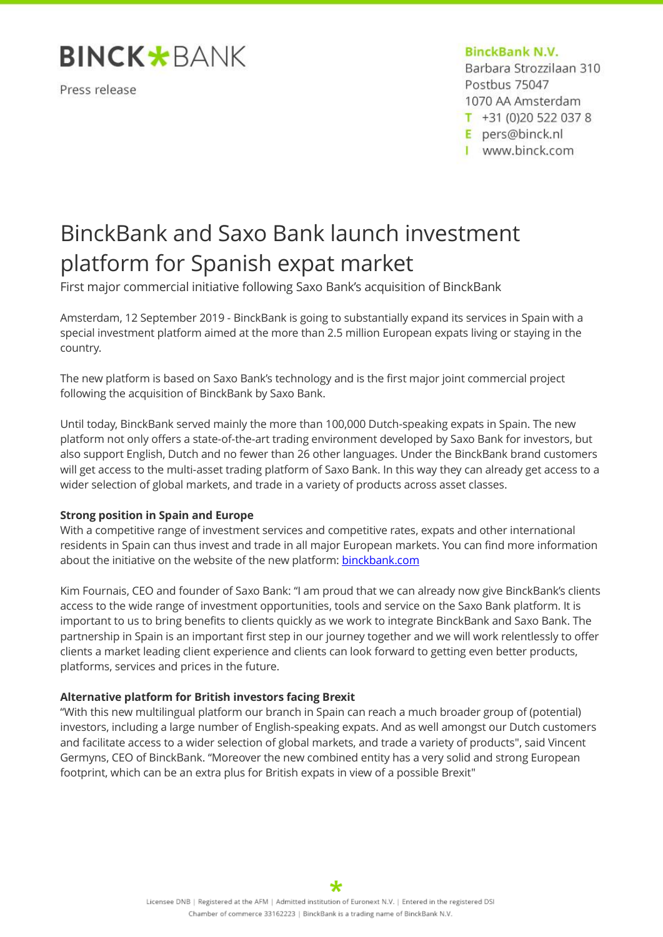

Press release

## **BinckBank N.V.**

Barbara Strozzilaan 310 Postbus 75047 1070 AA Amsterdam  $T$  +31 (0)20 522 037 8

E pers@binck.nl

I www.binck.com

# BinckBank and Saxo Bank launch investment platform for Spanish expat market

First major commercial initiative following Saxo Bank's acquisition of BinckBank

Amsterdam, 12 September 2019 - BinckBank is going to substantially expand its services in Spain with a special investment platform aimed at the more than 2.5 million European expats living or staying in the country.

The new platform is based on Saxo Bank's technology and is the first major joint commercial project following the acquisition of BinckBank by Saxo Bank.

Until today, BinckBank served mainly the more than 100,000 Dutch-speaking expats in Spain. The new platform not only offers a state-of-the-art trading environment developed by Saxo Bank for investors, but also support English, Dutch and no fewer than 26 other languages. Under the BinckBank brand customers will get access to the multi-asset trading platform of Saxo Bank. In this way they can already get access to a wider selection of global markets, and trade in a variety of products across asset classes.

# **Strong position in Spain and Europe**

With a competitive range of investment services and competitive rates, expats and other international residents in Spain can thus invest and trade in all major European markets. You can find more information about the initiative on the website of the new platform: [binckbank.com](https://www.binckbank.com/)

Kim Fournais, CEO and founder of Saxo Bank: "I am proud that we can already now give BinckBank's clients access to the wide range of investment opportunities, tools and service on the Saxo Bank platform. It is important to us to bring benefits to clients quickly as we work to integrate BinckBank and Saxo Bank. The partnership in Spain is an important first step in our journey together and we will work relentlessly to offer clients a market leading client experience and clients can look forward to getting even better products, platforms, services and prices in the future.

# **Alternative platform for British investors facing Brexit**

"With this new multilingual platform our branch in Spain can reach a much broader group of (potential) investors, including a large number of English-speaking expats. And as well amongst our Dutch customers and facilitate access to a wider selection of global markets, and trade a variety of products", said Vincent Germyns, CEO of BinckBank. "Moreover the new combined entity has a very solid and strong European footprint, which can be an extra plus for British expats in view of a possible Brexit"

∗